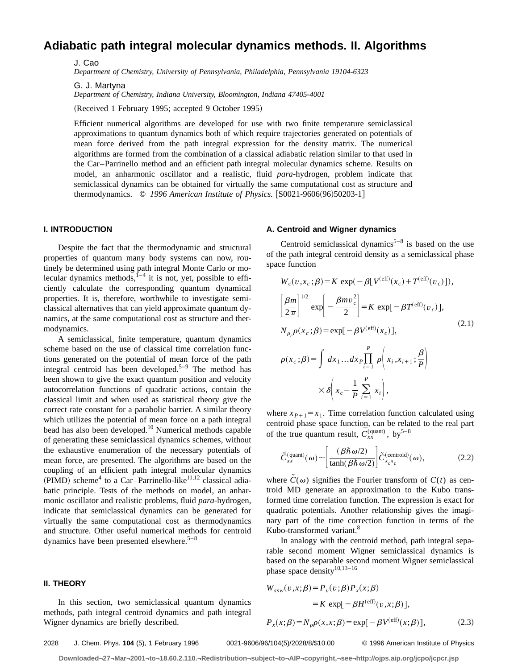# **Adiabatic path integral molecular dynamics methods. II. Algorithms**

J. Cao

*Department of Chemistry, University of Pennsylvania, Philadelphia, Pennsylvania 19104-6323*

G. J. Martyna

*Department of Chemistry, Indiana University, Bloomington, Indiana 47405-4001*

(Received 1 February 1995; accepted 9 October 1995)

Efficient numerical algorithms are developed for use with two finite temperature semiclassical approximations to quantum dynamics both of which require trajectories generated on potentials of mean force derived from the path integral expression for the density matrix. The numerical algorithms are formed from the combination of a classical adiabatic relation similar to that used in the Car–Parrinello method and an efficient path integral molecular dynamics scheme. Results on model, an anharmonic oscillator and a realistic, fluid *para*-hydrogen, problem indicate that semiclassical dynamics can be obtained for virtually the same computational cost as structure and thermodynamics. © 1996 American Institute of Physics. [S0021-9606(96)50203-1]

# **I. INTRODUCTION**

Despite the fact that the thermodynamic and structural properties of quantum many body systems can now, routinely be determined using path integral Monte Carlo or molecular dynamics methods, $1-4$  it is not, yet, possible to efficiently calculate the corresponding quantum dynamical properties. It is, therefore, worthwhile to investigate semiclassical alternatives that can yield approximate quantum dynamics, at the same computational cost as structure and thermodynamics.

A semiclassical, finite temperature, quantum dynamics scheme based on the use of classical time correlation functions generated on the potential of mean force of the path integral centroid has been developed.<sup>5–9</sup> The method has been shown to give the exact quantum position and velocity autocorrelation functions of quadratic actions, contain the classical limit and when used as statistical theory give the correct rate constant for a parabolic barrier. A similar theory which utilizes the potential of mean force on a path integral bead has also been developed.<sup>10</sup> Numerical methods capable of generating these semiclassical dynamics schemes, without the exhaustive enumeration of the necessary potentials of mean force, are presented. The algorithms are based on the coupling of an efficient path integral molecular dynamics  $(PIMD)$  scheme<sup>4</sup> to a Car–Parrinello-like<sup>11,12</sup> classical adiabatic principle. Tests of the methods on model, an anharmonic oscillator and realistic problems, fluid *para*-hydrogen, indicate that semiclassical dynamics can be generated for virtually the same computational cost as thermodynamics and structure. Other useful numerical methods for centroid dynamics have been presented elsewhere.<sup>5–8</sup>

## **II. THEORY**

In this section, two semiclassical quantum dynamics methods, path integral centroid dynamics and path integral Wigner dynamics are briefly described.

## **A. Centroid and Wigner dynamics**

Centroid semiclassical dynamics<sup>5–8</sup> is based on the use of the path integral centroid density as a semiclassical phase space function

$$
W_c(v, x_c; \beta) = K \exp(-\beta [V^{(eff)}(x_c) + T^{(eff)}(v_c)]),
$$
  
\n
$$
\left[\frac{\beta m}{2\pi}\right]^{1/2} \exp\left[-\frac{\beta m v_c^2}{2}\right] = K \exp[-\beta T^{(eff)}(v_c)],
$$
  
\n
$$
N_{\rho_c} \rho(x_c; \beta) = \exp[-\beta V^{(eff)}(x_c)],
$$
\n(2.1)

$$
\rho(x_c; \beta) = \int dx_1 ... dx_P \prod_{i=1}^P \rho\left(x_i, x_{i+1}; \frac{\beta}{P}\right)
$$

$$
\times \delta\left(x_c - \frac{1}{P} \sum_{i=1}^P x_i\right),
$$

where  $x_{P+1} = x_1$ . Time correlation function calculated using centroid phase space function, can be related to the real part of the true quantum result,  $\bar{C}_{xx}^{\text{(quant)}}$ , by<sup>5–8</sup>

$$
\tilde{C}_{xx}^{\text{(quant)}}(\omega) \sim \left[\frac{(\beta \hbar \omega/2)}{\tanh(\beta \hbar \omega/2)}\right] \tilde{C}_{x_c x_c}^{\text{(centroid)}}(\omega),\tag{2.2}
$$

where  $\tilde{C}(\omega)$  signifies the Fourier transform of  $C(t)$  as centroid MD generate an approximation to the Kubo transformed time correlation function. The expression is exact for quadratic potentials. Another relationship gives the imaginary part of the time correction function in terms of the Kubo-transformed variant.<sup>8</sup>

In analogy with the centroid method, path integral separable second moment Wigner semiclassical dynamics is based on the separable second moment Wigner semiclassical phase space density<sup>10,13-16</sup>

$$
W_{ssw}(v,x;\beta) = P_v(v;\beta)P_x(x;\beta)
$$
  
=  $K \exp[-\beta H^{(eff)}(v,x;\beta)],$ 

$$
P_x(x;\beta) = N_\rho \rho(x,x;\beta) = \exp[-\beta V^{(\text{eff})}(x;\beta)],\tag{2.3}
$$

2028 J. Chem. Phys. **104** (5), 1 February 1996 0021-9606/96/104(5)/2028/8/\$10.00 © 1996 American Institute of Physics

**Downloaded¬27¬Mar¬2001¬to¬18.60.2.110.¬Redistribution¬subject¬to¬AIP¬copyright,¬see¬http://ojps.aip.org/jcpo/jcpcr.jsp**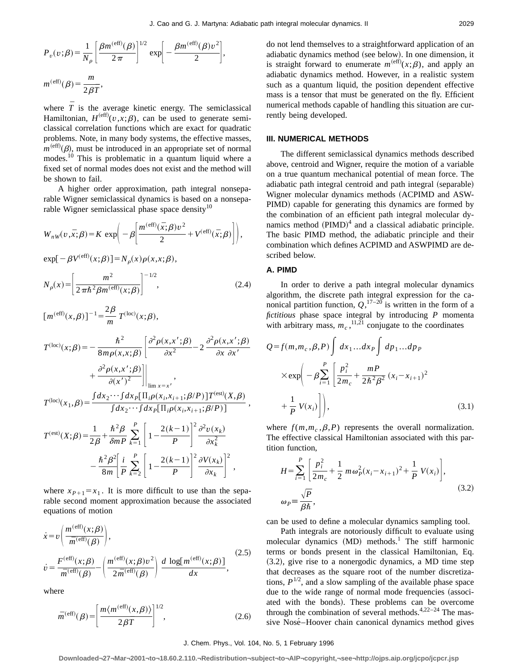$$
P_v(v;\beta) = \frac{1}{N_\rho} \left[ \frac{\beta m^{(\text{eff})}(\beta)}{2\pi} \right]^{1/2} \exp \left[ -\frac{\beta m^{(\text{eff})}(\beta) v^2}{2} \right],
$$
  

$$
m^{(\text{eff})}(\beta) = \frac{m}{2\beta T},
$$

where  $\overline{T}$  is the average kinetic energy. The semiclassical Hamiltonian,  $H^{(eff)}(v,x;\beta)$ , can be used to generate semiclassical correlation functions which are exact for quadratic problems. Note, in many body systems, the effective masses,  $m^{(eff)}(\beta)$ , must be introduced in an appropriate set of normal modes.<sup>10</sup> This is problematic in a quantum liquid where a fixed set of normal modes does not exist and the method will be shown to fail.

A higher order approximation, path integral nonseparable Wigner semiclassical dynamics is based on a nonseparable Wigner semiclassical phase space density<sup>10</sup>

$$
W_{nW}(v,\bar{x};\beta) = K \exp\bigg(-\beta \bigg[\frac{m^{(\text{eff})}(\bar{x};\beta)v^2}{2} + V^{(\text{eff})}(\bar{x};\beta)\bigg]\bigg),
$$

 $exp[-\beta V^{(eff)}(x;\beta)] = N_{\rho}(x)\rho(x,x;\beta),$ 

$$
N_{\rho}(x) = \left[\frac{m^2}{2\pi\hbar^2 \beta m^{(\text{eff})}(x;\beta)}\right]^{-1/2},
$$
\n(2.4)

$$
[m^{(\text{eff})}(x,\beta)]^{-1} = \frac{2\beta}{m} T^{(\text{loc})}(x;\beta),
$$
  
\n
$$
T^{(\text{loc})}(x;\beta) = -\frac{\hbar^2}{8m\rho(x,x;\beta)} \left[ \frac{\partial^2 \rho(x,x';\beta)}{\partial x^2} - 2 \frac{\partial^2 \rho(x,x';\beta)}{\partial x \partial x'} + \frac{\partial^2 \rho(x,x';\beta)}{\partial (x')^2} \right]_{\lim x = x'}
$$
  
\n
$$
T^{(\text{loc})}(x_1,\beta) = \frac{\int dx_2 \cdots \int dx_P [\Pi_i \rho(x_i,x_{i+1};\beta/P)] T^{(\text{est})}(X,\beta)}{\int dx_2 \cdots \int dx_P [\Pi_i \rho(x_i,x_{i+1};\beta/P)]},
$$
  
\n
$$
T^{(\text{est})}(X;\beta) = \frac{1}{2\beta} + \frac{\hbar^2 \beta}{\delta m P} \sum_{k=1}^P \left[ 1 - \frac{2(k-1)}{P} \right]^2 \frac{\partial^2 v(x_k)}{\partial x_k^2} - \frac{\hbar^2 \beta^2}{8m} \left[ \frac{i}{P} \sum_{k=2}^P \left[ 1 - \frac{2(k-1)}{P} \right]^2 \frac{\partial V(x_k)}{\partial x_k} \right]^2,
$$

where  $x_{P+1} = x_1$ . It is more difficult to use than the separable second moment approximation because the associated equations of motion

$$
\begin{split} \dot{x} &= v \left( \frac{m^{\text{(eff)}}(x;\beta)}{\bar{m}^{\text{(eff)}}(\beta)} \right), \\ \dot{v} &= \frac{F^{\text{(eff)}}(x;\beta)}{\bar{m}^{\text{(eff)}}(\beta)} - \left( \frac{m^{\text{(eff)}}(x;\beta)v^2}{2\bar{m}^{\text{(eff)}}(\beta)} \right) \frac{d \, \log[m^{\text{(eff)}}(x;\beta)]}{dx}, \end{split} \tag{2.5}
$$

where

$$
\bar{m}^{(\text{eff})}(\beta) = \left[\frac{m\langle m^{(\text{eff})}(x,\beta)\rangle}{2\beta\bar{T}}\right]^{1/2},\tag{2.6}
$$

do not lend themselves to a straightforward application of an adiabatic dynamics method (see below). In one dimension, it is straight forward to enumerate  $m^{(eff)}(x;\beta)$ , and apply an adiabatic dynamics method. However, in a realistic system such as a quantum liquid, the position dependent effective mass is a tensor that must be generated on the fly. Efficient numerical methods capable of handling this situation are currently being developed.

# **III. NUMERICAL METHODS**

The different semiclassical dynamics methods described above, centroid and Wigner, require the motion of a variable on a true quantum mechanical potential of mean force. The adiabatic path integral centroid and path integral (separable) Wigner molecular dynamics methods (ACPIMD and ASW-PIMD) capable for generating this dynamics are formed by the combination of an efficient path integral molecular dynamics method  $(PIMD)^4$  and a classical adiabatic principle. The basic PIMD method, the adiabatic principle and their combination which defines ACPIMD and ASWPIMD are described below.

## **A. PIMD**

In order to derive a path integral molecular dynamics algorithm, the discrete path integral expression for the canonical partition function,  $Q,$ <sup>17–20</sup> is written in the form of a *fictitious* phase space integral by introducing *P* momenta with arbitrary mass,  $m_c$ ,  $^{11,21}$  conjugate to the coordinates

$$
Q = f(m, m_c, \beta, P) \int dx_1 ... dx_P \int dp_1 ... dp_P
$$
  
\n
$$
\times \exp\left(-\beta \sum_{i=1}^P \left[\frac{p_i^2}{2m_c} + \frac{mP}{2\hbar^2 \beta^2} (x_i - x_{i+1})^2 + \frac{1}{P} V(x_i)\right]\right),
$$
\n(3.1)

where  $f(m,m_c,\beta,P)$  represents the overall normalization. The effective classical Hamiltonian associated with this partition function,

$$
H = \sum_{i=1}^{P} \left[ \frac{p_i^2}{2m_c} + \frac{1}{2} m \omega_p^2 (x_i - x_{i+1})^2 + \frac{1}{P} V(x_i) \right],
$$
  
\n
$$
\omega_P \equiv \frac{\sqrt{P}}{\beta \hbar},
$$
\n(3.2)

can be used to define a molecular dynamics sampling tool.

Path integrals are notoriously difficult to evaluate using molecular dynamics  $(MD)$  methods.<sup>1</sup> The stiff harmonic terms or bonds present in the classical Hamiltonian, Eq.  $(3.2)$ , give rise to a nonergodic dynamics, a MD time step that decreases as the square root of the number discretizations,  $P^{1/2}$ , and a slow sampling of the available phase space due to the wide range of normal mode frequencies (associated with the bonds). These problems can be overcome through the combination of several methods.4,22–24 The massive Nosé-Hoover chain canonical dynamics method gives

#### J. Chem. Phys., Vol. 104, No. 5, 1 February 1996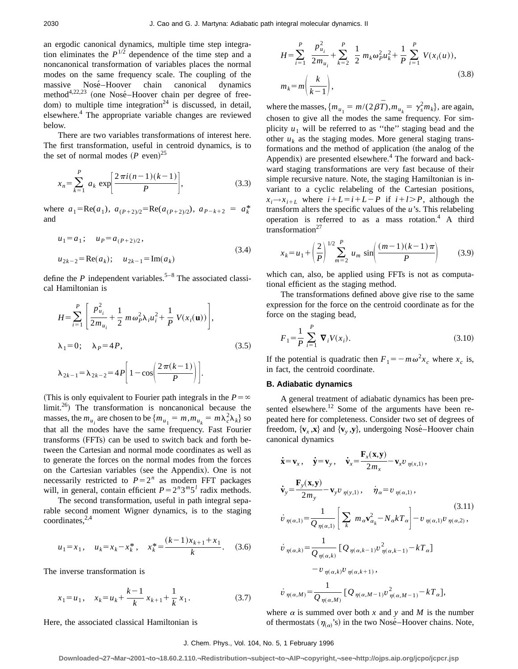an ergodic canonical dynamics, multiple time step integration eliminates the  $P^{1/2}$  dependence of the time step and a noncanonical transformation of variables places the normal modes on the same frequency scale. The coupling of the massive Nosé-Hoover chain canonical dynamics method<sup>4,22,23</sup> (one Nosé–Hoover chain per degree of freedom) to multiple time integration<sup>24</sup> is discussed, in detail, elsewhere.<sup>4</sup> The appropriate variable changes are reviewed below.

There are two variables transformations of interest here. The first transformation, useful in centroid dynamics, is to the set of normal modes  $(P \text{ even})^{25}$ 

$$
x_n = \sum_{k=1}^P a_k \exp\left[\frac{2\pi i(n-1)(k-1)}{P}\right],
$$
 (3.3)

where  $a_1 = \text{Re}(a_1)$ ,  $a_{(P+2)/2} = \text{Re}(a_{(P+2)/2})$ ,  $a_{P-k+2} = a_k^*$ and

$$
u_1 = a_1; \quad u_P = a_{(P+2)/2},
$$
  
\n
$$
u_{2k-2} = \text{Re}(a_k); \quad u_{2k-1} = \text{Im}(a_k)
$$
\n(3.4)

define the  $P$  independent variables.<sup>5–8</sup> The associated classical Hamiltonian is

$$
H = \sum_{i=1}^{P} \left[ \frac{p_{u_i}^2}{2m_{u_i}} + \frac{1}{2} m \omega_P^2 \lambda_i u_i^2 + \frac{1}{P} V(x_i(\mathbf{u})) \right],
$$
  
\n
$$
\lambda_1 = 0; \quad \lambda_P = 4P,
$$
  
\n
$$
\lambda_{2k-1} = \lambda_{2k-2} = 4P \left[ 1 - \cos \left( \frac{2\pi(k-1)}{P} \right) \right].
$$
\n(3.5)

(This is only equivalent to Fourier path integrals in the  $P = \infty$ ) limit.<sup>26</sup>) The transformation is noncanonical because the masses, the  $m_{u_i}$  are chosen to be  $\{m_{u_1} = m, m_{u_k} = m\lambda_c^2 \lambda_k\}$  so that all the modes have the same frequency. Fast Fourier transforms (FFTs) can be used to switch back and forth between the Cartesian and normal mode coordinates as well as to generate the forces on the normal modes from the forces on the Cartesian variables (see the Appendix). One is not necessarily restricted to  $P=2^n$  as modern FFT packages will, in general, contain efficient  $P = 2^n 3^m 5^l$  radix methods.

The second transformation, useful in path integral separable second moment Wigner dynamics, is to the staging  $coordinates, <sup>2,4</sup>$ 

$$
u_1 = x_1
$$
,  $u_k = x_k - x_k^*$ ,  $x_k^* = \frac{(k-1)x_{k+1} + x_1}{k}$ . (3.6)

The inverse transformation is

$$
x_1 = u_1, \quad x_k = u_k + \frac{k-1}{k} x_{k+1} + \frac{1}{k} x_1.
$$
 (3.7)

Here, the associated classical Hamiltonian is

$$
H = \sum_{i=1}^{P} \frac{p_{u_i}^2}{2m_{u_i}} + \sum_{k=2}^{P} \frac{1}{2} m_k \omega_p^2 u_k^2 + \frac{1}{P} \sum_{i=1}^{P} V(x_i(u)),
$$
  

$$
m_k = m \left( \frac{k}{k-1} \right),
$$
 (3.8)

where the masses,  $\{m_{u_1} = m/(2\beta \bar{T}), m_{u_k} = \gamma_s^2 m_k\}$ , are again, chosen to give all the modes the same frequency. For simplicity  $u_1$  will be referred to as "the" staging bead and the other  $u_k$  as the staging modes. More general staging transformations and the method of application (the analog of the Appendix) are presented elsewhere. $4$  The forward and backward staging transformations are very fast because of their simple recursive nature. Note, the staging Hamiltonian is invariant to a cyclic relabeling of the Cartesian positions,  $x_i \rightarrow x_{i+L}$  where  $i+L=i+L-P$  if  $i+l>P$ , although the transform alters the specific values of the *u*'s. This relabeling operation is referred to as a mass rotation. $4$  A third transformation<sup>27</sup>

$$
x_k = u_1 + \left(\frac{2}{P}\right)^{1/2} \sum_{m=2}^{P} u_m \sin\left(\frac{(m-1)(k-1)\pi}{P}\right) \tag{3.9}
$$

which can, also, be applied using FFTs is not as computational efficient as the staging method.

The transformations defined above give rise to the same expression for the force on the centroid coordinate as for the force on the staging bead,

$$
F_1 = \frac{1}{P} \sum_{i=1}^{P} \mathbf{\nabla}_i V(x_i). \tag{3.10}
$$

If the potential is quadratic then  $F_1 = -m\omega^2 x_c$  where  $x_c$  is, in fact, the centroid coordinate.

## **B. Adiabatic dynamics**

A general treatment of adiabatic dynamics has been presented elsewhere.<sup>12</sup> Some of the arguments have been repeated here for completeness. Consider two set of degrees of freedom,  $\{v_x, x\}$  and  $\{v_y, y\}$ , undergoing Nosé–Hoover chain canonical dynamics

$$
\begin{aligned}\n\dot{\mathbf{x}} &= \mathbf{v}_{x}, \quad \dot{\mathbf{y}} = \mathbf{v}_{y}, \quad \dot{\mathbf{v}}_{x} = \frac{\mathbf{F}_{x}(\mathbf{x}, \mathbf{y})}{2m_{x}} - \mathbf{v}_{x} v_{\eta(x,1)}, \\
\dot{\mathbf{v}}_{y} &= \frac{\mathbf{F}_{y}(\mathbf{x}, \mathbf{y})}{2m_{y}} - \mathbf{v}_{y} v_{\eta(y,1)}, \quad \dot{\eta}_{\alpha} = v_{\eta(\alpha,1)}, \\
\dot{v}_{\eta(\alpha,1)} &= \frac{1}{Q_{\eta(\alpha,1)}} \left[ \sum_{k} m_{\alpha} v_{\alpha_{k}}^{2} - N_{\alpha} k T_{\alpha} \right] - v_{\eta(\alpha,1)} v_{\eta(\alpha,2)}, \\
\dot{v}_{\eta(\alpha,k)} &= \frac{1}{Q_{\eta(\alpha,k)}} \left[ Q_{\eta(\alpha,k-1)} v_{\eta(\alpha,k-1)}^{2} - k T_{\alpha} \right] \\
&\quad - v_{\eta(\alpha,k)} v_{\eta(\alpha,k+1)}, \\
\dot{v}_{\eta(\alpha,M)} &= \frac{1}{Q_{\eta(\alpha,M)}} \left[ Q_{\eta(\alpha,M-1)} v_{\eta(\alpha,M-1)}^{2} - k T_{\alpha} \right],\n\end{aligned}
$$
\n(3.11)

where  $\alpha$  is summed over both  $x$  and  $y$  and  $M$  is the number of thermostats  $(\eta_{\alpha})$ 's) in the two Nosé–Hoover chains. Note,

#### J. Chem. Phys., Vol. 104, No. 5, 1 February 1996

**Downloaded¬27¬Mar¬2001¬to¬18.60.2.110.¬Redistribution¬subject¬to¬AIP¬copyright,¬see¬http://ojps.aip.org/jcpo/jcpcr.jsp**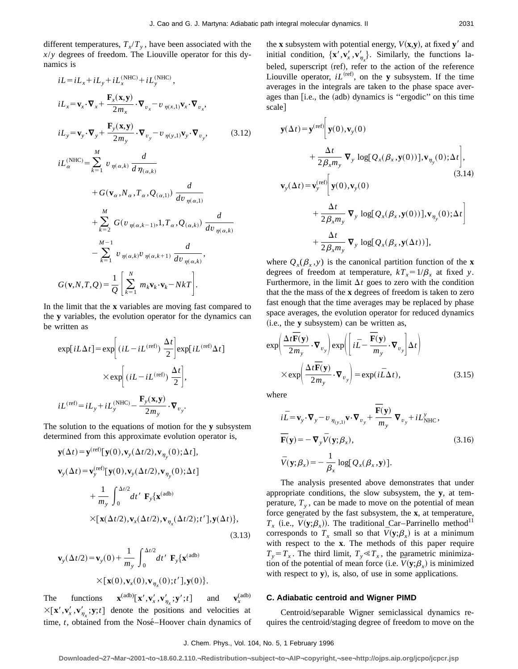different temperatures,  $T_x/T_y$ , have been associated with the *x*/*y* degrees of freedom. The Liouville operator for this dynamics is

$$
iL = iL_x + iL_y + iL_x^{(NHC)} + iL_y^{(NHC)},
$$
  
\n
$$
iL_x = \mathbf{v}_x \cdot \nabla_x + \frac{\mathbf{F}_x(\mathbf{x}, \mathbf{y})}{2m_x} \cdot \nabla_{v_x} - v_{\eta(x,1)} \mathbf{v}_x \cdot \nabla_{v_x},
$$
  
\n
$$
iL_y = \mathbf{v}_y \cdot \nabla_y + \frac{\mathbf{F}_y(\mathbf{x}, \mathbf{y})}{2m_y} \cdot \nabla_{v_y} - v_{\eta(y,1)} \mathbf{v}_y \cdot \nabla_{v_y},
$$
\n(3.12)  
\n
$$
iL_{\alpha}^{(NHC)} = \sum_{k=1}^{M} v_{\eta(\alpha,k)} \frac{d}{d \eta_{(\alpha,k)}}
$$
\n
$$
+ G(\mathbf{v}_{\alpha}, N_{\alpha}, T_{\alpha}, Q_{(\alpha,1)}) \frac{d}{d v_{\eta(\alpha,1)}}
$$
\n
$$
+ \sum_{k=2}^{M} G(v_{\eta(\alpha,k-1)}, 1, T_{\alpha}, Q_{(\alpha,k)}) \frac{d}{d v_{\eta(\alpha,k)}}
$$
\n
$$
- \sum_{k=1}^{M-1} v_{\eta(\alpha,k)} v_{\eta(\alpha,k+1)} \frac{d}{d v_{\eta(\alpha,k)}}
$$
\n
$$
G(\mathbf{v}, N, T, Q) = \frac{1}{Q} \left[ \sum_{k=1}^{N} m_k \mathbf{v}_k \cdot \mathbf{v}_k - NkT \right].
$$

In the limit that the **x** variables are moving fast compared to the **y** variables, the evolution operator for the dynamics can be written as

$$
\exp[iL\Delta t] = \exp\left[(iL - iL^{(\text{ref})})\frac{\Delta t}{2}\right] \exp[iL^{(\text{ref})}\Delta t]
$$

$$
\times \exp\left[(iL - iL^{(\text{ref})})\frac{\Delta t}{2}\right],
$$

$$
iL^{(\text{ref})} = iL_y + iL_y^{(\text{NHC})} - \frac{\mathbf{F}_y(\mathbf{x}, \mathbf{y})}{2m_y} \cdot \nabla_{v_y}.
$$

The solution to the equations of motion for the **y** subsystem determined from this approximate evolution operator is,

$$
\mathbf{y}(\Delta t) = \mathbf{y}^{(\text{ref})}[\mathbf{y}(0), \mathbf{v}_{y}(\Delta t/2), \mathbf{v}_{\eta_{y}}(0); \Delta t],
$$
\n
$$
\mathbf{v}_{y}(\Delta t) = \mathbf{v}_{y}^{(\text{ref})}[\mathbf{y}(0), \mathbf{v}_{y}(\Delta t/2), \mathbf{v}_{\eta_{y}}(0); \Delta t]
$$
\n
$$
+ \frac{1}{m_{y}} \int_{0}^{\Delta t/2} dt' \mathbf{F}_{y} {\mathbf{x}^{(\text{adb})}}
$$
\n
$$
\times [\mathbf{x}(\Delta t/2), \mathbf{v}_{x}(\Delta t/2), \mathbf{v}_{\eta_{x}}(\Delta t/2); t'], \mathbf{y}(\Delta t) ],
$$
\n(3.13)

$$
\mathbf{v}_y(\Delta t/2) = \mathbf{v}_y(0) + \frac{1}{m_y} \int_0^{\Delta t/2} dt' \mathbf{F}_y\{\mathbf{x}^{(adb)}\}
$$

$$
\times [\mathbf{x}(0), \mathbf{v}_x(0), \mathbf{v}_{\eta_x}(0); t'], \mathbf{y}(0)].
$$

The functions  $\mathbf{x}^{(adb)}[\mathbf{x}', \mathbf{v}'_x, \mathbf{v}'_{\eta_x}; \mathbf{y}'; t]$  and  $\mathbf{v}_x^{\mathbf{C}}$  $\mathbf{v}_x^{(adb)}$  $\times [\mathbf{x}', \mathbf{v}'_x, \mathbf{v}'_{\eta_x}; \mathbf{y}; t]$  denote the positions and velocities at time, *t*, obtained from the Nosé–Hoover chain dynamics of the **x** subsystem with potential energy,  $V(\mathbf{x}, \mathbf{y})$ , at fixed **y**<sup>'</sup> and initial condition,  $\{x', v'_x, v'_{\eta_x}\}$ . Similarly, the functions labeled, superscript (ref), refer to the action of the reference Liouville operator,  $iL^{(ref)}$ , on the **y** subsystem. If the time averages in the integrals are taken to the phase space averages than [i.e., the (adb) dynamics is "ergodic" on this time scale]

$$
\mathbf{y}(\Delta t) = \mathbf{y}^{(\text{ref})} \Bigg[ \mathbf{y}(0), \mathbf{v}_{y}(0)
$$
  
+ 
$$
\frac{\Delta t}{2\beta_{x}m_{y}} \nabla_{y} \log[Q_{x}(\beta_{x}, \mathbf{y}(0))], \mathbf{v}_{\eta_{y}}(0); \Delta t \Bigg],
$$
  
(3.14)  

$$
\mathbf{v}_{y}(\Delta t) = \mathbf{v}_{y}^{(\text{ref})} \Bigg[ \mathbf{y}(0), \mathbf{v}_{y}(0)
$$
  
+ 
$$
\frac{\Delta t}{2\beta_{x}m_{y}} \nabla_{y} \log[Q_{x}(\beta_{x}, \mathbf{y}(0))], \mathbf{v}_{\eta_{y}}(0); \Delta t \Bigg]
$$
  
+ 
$$
\frac{\Delta t}{2\beta_{x}m_{y}} \nabla_{y} \log[Q_{x}(\beta_{x}, \mathbf{y}(\Delta t))],
$$

where  $Q_{x}(\beta_{x}, y)$  is the canonical partition function of the **x** degrees of freedom at temperature,  $kT_x = 1/\beta_x$  at fixed *y*. Furthermore, in the limit  $\Delta t$  goes to zero with the condition that the the mass of the **x** degrees of freedom is taken to zero fast enough that the time averages may be replaced by phase space averages, the evolution operator for reduced dynamics  $(i.e., the  $y$  subsystem) can be written as,$ 

$$
\exp\left(\frac{\Delta t \overline{\mathbf{F}}(\mathbf{y})}{2m_y} \cdot \nabla_{v_y}\right) \exp\left(\left[i\overline{L} - \frac{\overline{\mathbf{F}}(\mathbf{y})}{m_y} \cdot \nabla_{v_y}\right] \Delta t\right)
$$

$$
\times \exp\left(\frac{\Delta t \overline{\mathbf{F}}(\mathbf{y})}{2m_y} \cdot \nabla_{v_y}\right) = \exp(i\overline{L}\Delta t), \tag{3.15}
$$

where

$$
i\bar{L} = \mathbf{v}_{y} \cdot \nabla_{y} - v_{\eta_{(y,1)}} \mathbf{v} \cdot \nabla_{v_{y}} + \frac{\overline{\mathbf{F}}(\mathbf{y})}{m_{y}} \nabla_{v_{y}} + iL_{\text{NHC}}^{y},
$$
  

$$
\overline{\mathbf{F}}(\mathbf{y}) = -\nabla_{y} \overline{V}(\mathbf{y}; \beta_{x}),
$$
  

$$
\overline{V}(\mathbf{y}; \beta_{x}) = -\frac{1}{\beta_{x}} \log[Q_{x}(\beta_{x}, \mathbf{y})].
$$
 (3.16)

The analysis presented above demonstrates that under appropriate conditions, the slow subsystem, the **y**, at temperature,  $T<sub>v</sub>$ , can be made to move on the potential of mean force generated by the fast subsystem, the **x**, at temperature,  $T_r$  (i.e.,  $V(y;\beta_r)$ ). The traditional Car–Parrinello method<sup>11</sup> corresponds to  $T_x$  small so that  $V(y;\beta_x)$  is at a minimum with respect to the **x**. The methods of this paper require  $T_y = T_x$ . The third limit,  $T_y \ll T_x$ , the parametric minimization of the potential of mean force (i.e.  $V(y;\beta)$  is minimized with respect to  $\mathbf{y}$ ), is, also, of use in some applications.

## **C. Adiabatic centroid and Wigner PIMD**

Centroid/separable Wigner semiclassical dynamics requires the centroid/staging degree of freedom to move on the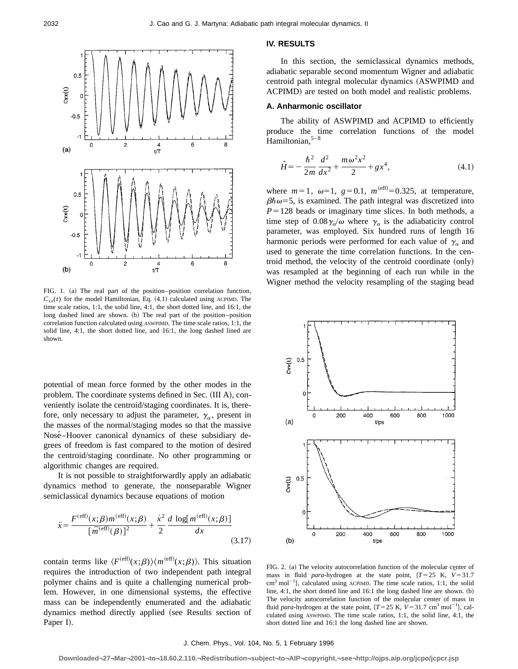

FIG. 1. (a) The real part of the position–position correlation function,  $C_{xx}(t)$  for the model Hamiltonian, Eq.  $(4.1)$  calculated using ACPIMD. The time scale ratios, 1:1, the solid line, 4:1, the short dotted line, and 16:1, the long dashed lined are shown. (b) The real part of the position–position correlation function calculated using ASWPIMD. The time scale ratios, 1:1, the solid line, 4:1, the short dotted line, and 16:1, the long dashed lined are shown.

potential of mean force formed by the other modes in the problem. The coordinate systems defined in Sec. (III A), conveniently isolate the centroid/staging coordinates. It is, therefore, only necessary to adjust the parameter,  $\gamma_\alpha$ , present in the masses of the normal/staging modes so that the massive Nosé–Hoover canonical dynamics of these subsidiary degrees of freedom is fast compared to the motion of desired the centroid/staging coordinate. No other programming or algorithmic changes are required.

It is not possible to straightforwardly apply an adiabatic dynamics method to generate, the nonseparable Wigner semiclassical dynamics because equations of motion

$$
\ddot{x} = \frac{F^{(\text{eff})}(x;\beta)m^{(\text{eff})}(x;\beta)}{\left[\bar{m}^{(\text{eff})}(\beta)\right]^2} + \frac{\dot{x}^2}{2} \frac{d \log[m^{(\text{eff})}(x;\beta)]}{dx}
$$
\n(3.17)

contain terms like  $\langle F^{(eff)}(x;\beta)\rangle\langle m^{(eff)}(x;\beta)\rangle$ . This situation requires the introduction of two independent path integral polymer chains and is quite a challenging numerical problem. However, in one dimensional systems, the effective mass can be independently enumerated and the adiabatic dynamics method directly applied (see Results section of Paper I).

## **IV. RESULTS**

In this section, the semiclassical dynamics methods, adiabatic separable second momentum Wigner and adiabatic centroid path integral molecular dynamics (ASWPIMD and ACPIMD) are tested on both model and realistic problems.

## **A. Anharmonic oscillator**

The ability of ASWPIMD and ACPIMD to efficiently produce the time correlation functions of the model Hamiltonian. $5-8$ 

$$
\hat{H} = -\frac{\hbar^2}{2m} \frac{d^2}{dx^2} + \frac{m\omega^2 x^2}{2} + gx^4,
$$
\n(4.1)

where  $m=1$ ,  $\omega=1$ ,  $g=0.1$ ,  $m^{(eff)}=0.325$ , at temperature,  $\beta \hbar \omega = 5$ , is examined. The path integral was discretized into  $P = 128$  beads or imaginary time slices. In both methods, a time step of  $0.08\gamma_{\alpha}/\omega$  where  $\gamma_{\alpha}$  is the adiabaticity control parameter, was employed. Six hundred runs of length 16 harmonic periods were performed for each value of  $\gamma_a$  and used to generate the time correlation functions. In the centroid method, the velocity of the centroid coordinate (only) was resampled at the beginning of each run while in the Wigner method the velocity resampling of the staging bead



FIG. 2. (a) The velocity autocorrelation function of the molecular center of mass in fluid *para*-hydrogen at the state point,  $\{T=25 \text{ K}, \bar{V}=31.7 \}$  $\text{cm}^3 \text{ mol}^{-1}$ , calculated using ACPIMD. The time scale ratios, 1:1, the solid line,  $4:1$ , the short dotted line and  $16:1$  the long dashed line are shown.  $(b)$ The velocity autocorrelation function of the molecular center of mass in fluid *para*-hydrogen at the state point,  $\{T = 25 \text{ K}, \bar{V} = 31.7 \text{ cm}^3 \text{ mol}^{-1}\}$ , calculated using ASWPIMD. The time scale ratios, 1:1, the solid line, 4:1, the short dotted line and 16:1 the long dashed line are shown.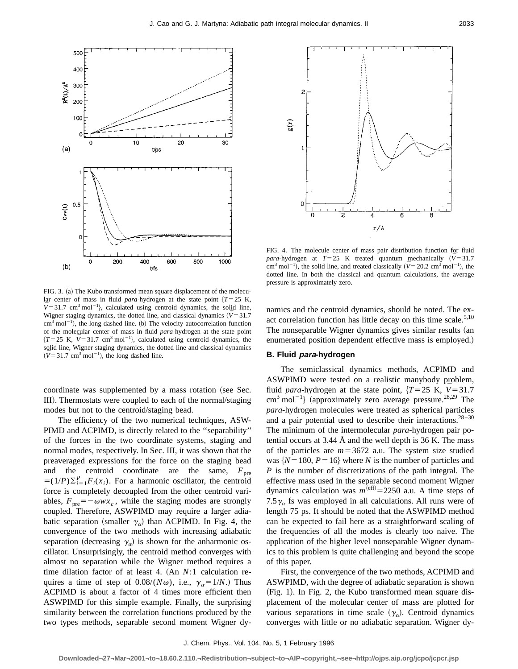



FIG. 4. The molecule center of mass pair distribution function for fluid *para*-hydrogen at  $T=25$  K treated quantum mechanically  $(\bar{V}=31.7)$  $\text{cm}^3 \text{ mol}^{-1}$ , the solid line, and treated classically ( $\bar{V} = 20.2 \text{ cm}^3 \text{ mol}^{-1}$ ), the dotted line. In both the classical and quantum calculations, the average pressure is approximately zero.

FIG. 3. (a) The Kubo transformed mean square displacement of the molecular center of mass in fluid *para*-hydrogen at the state point  ${T = 25 K}$ ,  $\bar{V}$ =31.7 cm<sup>3</sup> mol<sup>-1</sup>}, calculated using centroid dynamics, the solid line, Wigner staging dynamics, the dotted line, and classical dynamics  $(V=31.7)$  $cm<sup>3</sup> mol<sup>-1</sup>$ ), the long dashed line. (b) The velocity autocorrelation function of the molecular center of mass in fluid *para*-hydrogen at the state point  ${T = 25 K, \bar{V} = 31.7 cm<sup>3</sup> mol<sup>-1</sup>},$  calculated using centroid dynamics, the solid line, Wigner staging dynamics, the dotted line and classical dynamics  $(\bar{V} = 31.7 \text{ cm}^3 \text{ mol}^{-1})$ , the long dashed line.

coordinate was supplemented by a mass rotation (see Sec. III). Thermostats were coupled to each of the normal/staging modes but not to the centroid/staging bead.

The efficiency of the two numerical techniques, ASW-PIMD and ACPIMD, is directly related to the ''separability'' of the forces in the two coordinate systems, staging and normal modes, respectively. In Sec. III, it was shown that the preaveraged expressions for the force on the staging bead and the centroid coordinate are the same,  $F_{\text{pre}}$  $=(1/P)\sum_{i=1}^{P} F_i(x_i)$ . For a harmonic oscillator, the centroid force is completely decoupled from the other centroid variables,  $F_{\text{pre}}=-\omega wx_c$ , while the staging modes are strongly coupled. Therefore, ASWPIMD may require a larger adiabatic separation (smaller  $\gamma_{\alpha}$ ) than ACPIMD. In Fig. 4, the convergence of the two methods with increasing adiabatic separation (decreasing  $\gamma_{\alpha}$ ) is shown for the anharmonic oscillator. Unsurprisingly, the centroid method converges with almost no separation while the Wigner method requires a time dilation factor of at least 4. (An *N*:1 calculation requires a time of step of  $0.08/(N\omega)$ , i.e.,  $\gamma_{\alpha} = 1/N$ .) Thus ACPIMD is about a factor of 4 times more efficient then ASWPIMD for this simple example. Finally, the surprising similarity between the correlation functions produced by the two types methods, separable second moment Wigner dynamics and the centroid dynamics, should be noted. The exact correlation function has little decay on this time scale.<sup>5,10</sup> The nonseparable Wigner dynamics gives similar results (an enumerated position dependent effective mass is employed.)

## **B. Fluid para-hydrogen**

The semiclassical dynamics methods, ACPIMD and ASWPIMD were tested on a realistic manybody problem, fluid *para*-hydrogen at the state point,  $\{T=25 \text{ K}, \overline{V}=31.7 \}$  $\text{cm}^3 \text{ mol}^{-1}$ } (approximately zero average pressure.<sup>28,29</sup> The *para*-hydrogen molecules were treated as spherical particles and a pair potential used to describe their interactions. $28-30$ The minimum of the intermolecular *para*-hydrogen pair potential occurs at  $3.44 \text{ Å}$  and the well depth is 36 K. The mass of the particles are  $m=3672$  a.u. The system size studied was  ${N=180, P=16}$  where *N* is the number of particles and *P* is the number of discretizations of the path integral. The effective mass used in the separable second moment Wigner dynamics calculation was  $m^{\text{(eff)}} = 2250$  a.u. A time steps of 7.5 $\gamma_{\alpha}$  fs was employed in all calculations. All runs were of length 75 ps. It should be noted that the ASWPIMD method can be expected to fail here as a straightforward scaling of the frequencies of all the modes is clearly too naive. The application of the higher level nonseparable Wigner dynamics to this problem is quite challenging and beyond the scope of this paper.

First, the convergence of the two methods, ACPIMD and ASWPIMD, with the degree of adiabatic separation is shown  $(Fig. 1)$ . In Fig. 2, the Kubo transformed mean square displacement of the molecular center of mass are plotted for various separations in time scale  $(\gamma_{\alpha})$ . Centroid dynamics converges with little or no adiabatic separation. Wigner dy-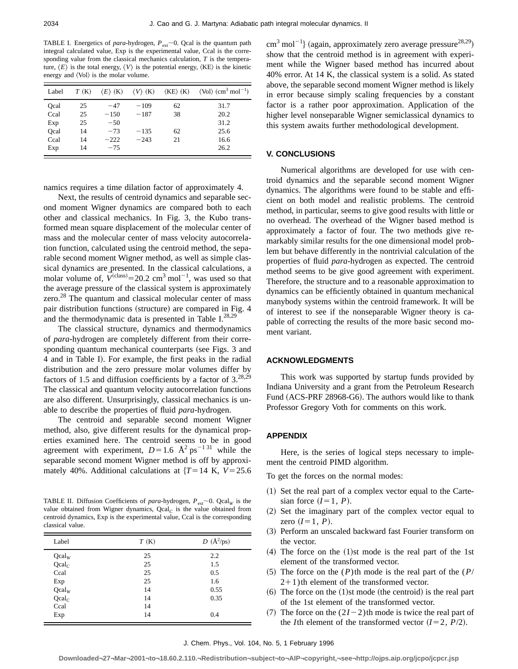TABLE I. Energetics of *para*-hydrogen,  $P_{ext}$   $\sim$  0. Qcal is the quantum path integral calculated value, Exp is the experimental value, Ccal is the corresponding value from the classical mechanics calculation, *T* is the temperature,  $\langle E \rangle$  is the total energy,  $\langle V \rangle$  is the potential energy,  $\langle KE \rangle$  is the kinetic energy and  $\langle Vol \rangle$  is the molar volume.

| Label | T(K) | $\langle E \rangle$ (K) | $\langle V \rangle$ (K) | $\langle KE \rangle$ $(K)$ | $\langle$ Vol $\rangle$ (cm <sup>3</sup> mol <sup>-1</sup> ) |
|-------|------|-------------------------|-------------------------|----------------------------|--------------------------------------------------------------|
| Ocal  | 25   | $-47$                   | $-109$                  | 62                         | 31.7                                                         |
| Ccal  | 25   | $-150$                  | $-187$                  | 38                         | 20.2                                                         |
| Exp   | 25   | $-50$                   |                         |                            | 31.2                                                         |
| Ocal  | 14   | $-73$                   | $-135$                  | 62                         | 25.6                                                         |
| Ccal  | 14   | $-222$                  | $-243$                  | 21                         | 16.6                                                         |
| Exp   | 14   | $-75$                   |                         |                            | 26.2                                                         |

namics requires a time dilation factor of approximately 4.

Next, the results of centroid dynamics and separable second moment Wigner dynamics are compared both to each other and classical mechanics. In Fig. 3, the Kubo transformed mean square displacement of the molecular center of mass and the molecular center of mass velocity autocorrelation function, calculated using the centroid method, the separable second moment Wigner method, as well as simple classical dynamics are presented. In the classical calculations, a molar volume of,  $\bar{V}^{(\text{class})} = 20.2 \text{ cm}^3 \text{ mol}^{-1}$ , was used so that the average pressure of the classical system is approximately zero.<sup>28</sup> The quantum and classical molecular center of mass pair distribution functions (structure) are compared in Fig. 4 and the thermodynamic data is presented in Table  $I^{28,29}$ 

The classical structure, dynamics and thermodynamics of *para*-hydrogen are completely different from their corresponding quantum mechanical counterparts (see Figs. 3 and 4 and in Table I). For example, the first peaks in the radial distribution and the zero pressure molar volumes differ by factors of 1.5 and diffusion coefficients by a factor of  $3.^{28,29}$ The classical and quantum velocity autocorrelation functions are also different. Unsurprisingly, classical mechanics is unable to describe the properties of fluid *para*-hydrogen.

The centroid and separable second moment Wigner method, also, give different results for the dynamical properties examined here. The centroid seems to be in good agreement with experiment,  $D=1.6$  Å<sup>2</sup> ps<sup>-131</sup> while the separable second moment Wigner method is off by approximately 40%. Additional calculations at  $\{T=14 \text{ K}, V=25.6\}$ 

TABLE II. Diffusion Coefficients of *para*-hydrogen,  $P_{ext}$   $\sim$  0. Qcal<sub>*W*</sub> is the value obtained from Wigner dynamics, Qcal<sub>C</sub> is the value obtained from centroid dynamics, Exp is the experimental value, Ccal is the corresponding classical value.

| Label    | T(K) | $D\;({\rm \AA}^{2}/\mathrm{ps})$ |
|----------|------|----------------------------------|
| Qcalw    | 25   | 2.2                              |
| $Qcal_C$ | 25   | 1.5                              |
| Ccal     | 25   | 0.5                              |
| Exp      | 25   | 1.6                              |
| Qcalw    | 14   | 0.55                             |
| $Qcal_C$ | 14   | 0.35                             |
| Ccal     | 14   |                                  |
| Exp      | 14   | 0.4                              |

 $\text{cm}^3 \text{ mol}^{-1}$ } (again, approximately zero average pressure<sup>28,29</sup>) show that the centroid method is in agreement with experiment while the Wigner based method has incurred about 40% error. At 14 K, the classical system is a solid. As stated above, the separable second moment Wigner method is likely in error because simply scaling frequencies by a constant factor is a rather poor approximation. Application of the higher level nonseparable Wigner semiclassical dynamics to this system awaits further methodological development.

## **V. CONCLUSIONS**

Numerical algorithms are developed for use with centroid dynamics and the separable second moment Wigner dynamics. The algorithms were found to be stable and efficient on both model and realistic problems. The centroid method, in particular, seems to give good results with little or no overhead. The overhead of the Wigner based method is approximately a factor of four. The two methods give remarkably similar results for the one dimensional model problem but behave differently in the nontrivial calculation of the properties of fluid *para*-hydrogen as expected. The centroid method seems to be give good agreement with experiment. Therefore, the structure and to a reasonable approximation to dynamics can be efficiently obtained in quantum mechanical manybody systems within the centroid framework. It will be of interest to see if the nonseparable Wigner theory is capable of correcting the results of the more basic second moment variant.

## **ACKNOWLEDGMENTS**

This work was supported by startup funds provided by Indiana University and a grant from the Petroleum Research Fund (ACS-PRF 28968-G6). The authors would like to thank Professor Gregory Voth for comments on this work.

#### **APPENDIX**

Here, is the series of logical steps necessary to implement the centroid PIMD algorithm.

- To get the forces on the normal modes:
- $(1)$  Set the real part of a complex vector equal to the Cartesian force  $(I=1, P)$ .
- ~2! Set the imaginary part of the complex vector equal to zero  $(I=1, P)$ .
- ~3! Perform an unscaled backward fast Fourier transform on the vector.
- $(4)$  The force on the  $(1)$ st mode is the real part of the 1st element of the transformed vector.
- $(5)$  The force on the  $(P)$ th mode is the real part of the  $(P)$  $2+1$ )th element of the transformed vector.
- $(6)$  The force on the  $(1)$ st mode (the centroid) is the real part of the 1st element of the transformed vector.
- $(7)$  The force on the  $(2I-2)$ th mode is twice the real part of the *I*th element of the transformed vector  $(I=2, P/2)$ .